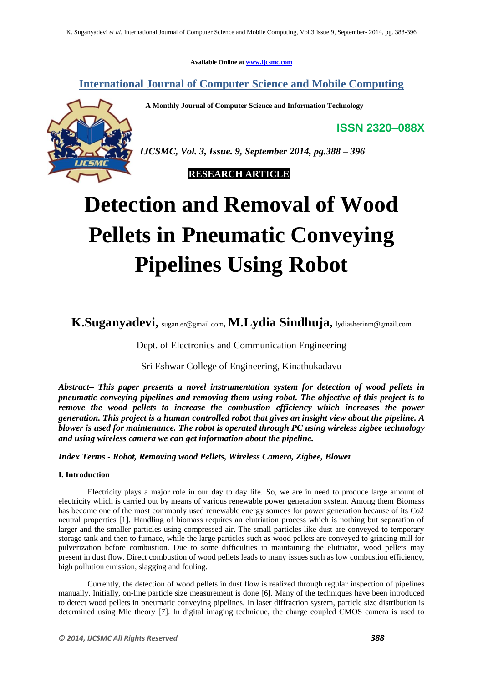**Available Online at www.ijcsmc.com**

**International Journal of Computer Science and Mobile Computing**

 **A Monthly Journal of Computer Science and Information Technology**

**ISSN 2320–088X**



*IJCSMC, Vol. 3, Issue. 9, September 2014, pg.388 – 396*

 **RESEARCH ARTICLE**

# **Detection and Removal of Wood Pellets in Pneumatic Conveying Pipelines Using Robot**

**K.Suganyadevi,** sugan.er@gmail.com**, M.Lydia Sindhuja,** lydiasherinm@gmail.com

Dept. of Electronics and Communication Engineering

Sri Eshwar College of Engineering, Kinathukadavu

*Abstract– This paper presents a novel instrumentation system for detection of wood pellets in pneumatic conveying pipelines and removing them using robot. The objective of this project is to remove the wood pellets to increase the combustion efficiency which increases the power generation. This project is a human controlled robot that gives an insight view about the pipeline. A blower is used for maintenance. The robot is operated through PC using wireless zigbee technology and using wireless camera we can get information about the pipeline.*

*Index Terms - Robot, Removing wood Pellets, Wireless Camera, Zigbee, Blower*

# **I. Introduction**

Electricity plays a major role in our day to day life. So, we are in need to produce large amount of electricity which is carried out by means of various renewable power generation system. Among them Biomass has become one of the most commonly used renewable energy sources for power generation because of its Co2 neutral properties [1]. Handling of biomass requires an elutriation process which is nothing but separation of larger and the smaller particles using compressed air. The small particles like dust are conveyed to temporary storage tank and then to furnace, while the large particles such as wood pellets are conveyed to grinding mill for pulverization before combustion. Due to some difficulties in maintaining the elutriator, wood pellets may present in dust flow. Direct combustion of wood pellets leads to many issues such as low combustion efficiency, high pollution emission, slagging and fouling.

Currently, the detection of wood pellets in dust flow is realized through regular inspection of pipelines manually. Initially, on-line particle size measurement is done [6]. Many of the techniques have been introduced to detect wood pellets in pneumatic conveying pipelines. In laser diffraction system, particle size distribution is determined using Mie theory [7]. In digital imaging technique, the charge coupled CMOS camera is used to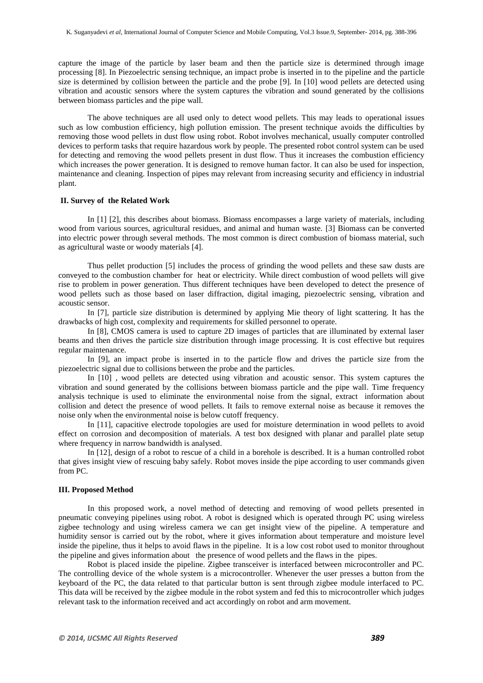capture the image of the particle by laser beam and then the particle size is determined through image processing [8]. In Piezoelectric sensing technique, an impact probe is inserted in to the pipeline and the particle size is determined by collision between the particle and the probe [9]. In [10] wood pellets are detected using vibration and acoustic sensors where the system captures the vibration and sound generated by the collisions between biomass particles and the pipe wall.

The above techniques are all used only to detect wood pellets. This may leads to operational issues such as low combustion efficiency, high pollution emission. The present technique avoids the difficulties by removing those wood pellets in dust flow using robot. Robot involves mechanical, usually computer controlled devices to perform tasks that require hazardous work by people. The presented robot control system can be used for detecting and removing the wood pellets present in dust flow. Thus it increases the combustion efficiency which increases the power generation. It is designed to remove human factor. It can also be used for inspection, maintenance and cleaning. Inspection of pipes may relevant from increasing security and efficiency in industrial plant.

## **II. Survey of the Related Work**

In [1] [2], this describes about biomass. Biomass encompasses a large variety of materials, including wood from various sources, agricultural residues, and animal and human waste. [3] Biomass can be converted into electric power through several methods. The most common is direct combustion of biomass material, such as agricultural waste or woody materials [4].

Thus pellet production [5] includes the process of grinding the wood pellets and these saw dusts are conveyed to the combustion chamber for heat or electricity. While direct combustion of wood pellets will give rise to problem in power generation. Thus different techniques have been developed to detect the presence of wood pellets such as those based on laser diffraction, digital imaging, piezoelectric sensing, vibration and acoustic sensor.

In [7], particle size distribution is determined by applying Mie theory of light scattering. It has the drawbacks of high cost, complexity and requirements for skilled personnel to operate.

In [8], CMOS camera is used to capture 2D images of particles that are illuminated by external laser beams and then drives the particle size distribution through image processing. It is cost effective but requires regular maintenance.

In [9], an impact probe is inserted in to the particle flow and drives the particle size from the piezoelectric signal due to collisions between the probe and the particles.

In [10] , wood pellets are detected using vibration and acoustic sensor. This system captures the vibration and sound generated by the collisions between biomass particle and the pipe wall. Time frequency analysis technique is used to eliminate the environmental noise from the signal, extract information about collision and detect the presence of wood pellets. It fails to remove external noise as because it removes the noise only when the environmental noise is below cutoff frequency.

In [11], capacitive electrode topologies are used for moisture determination in wood pellets to avoid effect on corrosion and decomposition of materials. A test box designed with planar and parallel plate setup where frequency in narrow bandwidth is analysed.

In [12], design of a robot to rescue of a child in a borehole is described. It is a human controlled robot that gives insight view of rescuing baby safely. Robot moves inside the pipe according to user commands given from PC.

#### **III. Proposed Method**

In this proposed work, a novel method of detecting and removing of wood pellets presented in pneumatic conveying pipelines using robot. A robot is designed which is operated through PC using wireless zigbee technology and using wireless camera we can get insight view of the pipeline. A temperature and humidity sensor is carried out by the robot, where it gives information about temperature and moisture level inside the pipeline, thus it helps to avoid flaws in the pipeline. It is a low cost robot used to monitor throughout the pipeline and gives information about the presence of wood pellets and the flaws in the pipes.

Robot is placed inside the pipeline. Zigbee transceiver is interfaced between microcontroller and PC. The controlling device of the whole system is a microcontroller. Whenever the user presses a button from the keyboard of the PC, the data related to that particular button is sent through zigbee module interfaced to PC. This data will be received by the zigbee module in the robot system and fed this to microcontroller which judges relevant task to the information received and act accordingly on robot and arm movement.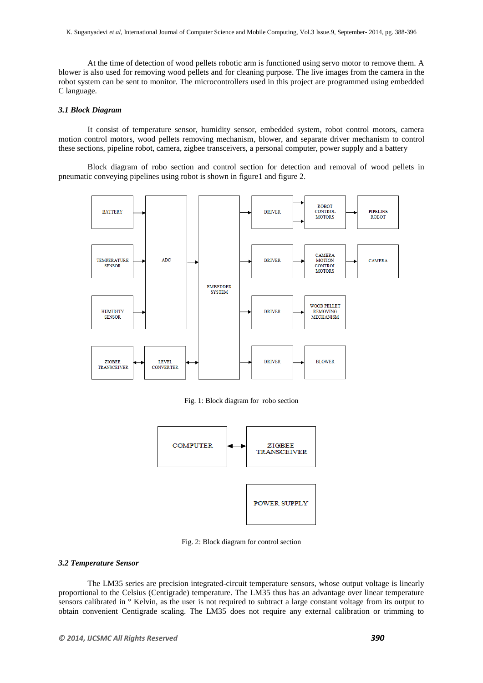At the time of detection of wood pellets robotic arm is functioned using servo motor to remove them. A blower is also used for removing wood pellets and for cleaning purpose. The live images from the camera in the robot system can be sent to monitor. The microcontrollers used in this project are programmed using embedded C language.

# *3.1 Block Diagram*

It consist of temperature sensor, humidity sensor, embedded system, robot control motors, camera motion control motors, wood pellets removing mechanism, blower, and separate driver mechanism to control these sections, pipeline robot, camera, zigbee transceivers, a personal computer, power supply and a battery

Block diagram of robo section and control section for detection and removal of wood pellets in pneumatic conveying pipelines using robot is shown in figure1 and figure 2.



Fig. 1: Block diagram for robo section



Fig. 2: Block diagram for control section

## *3.2 Temperature Sensor*

The LM35 series are precision integrated-circuit temperature sensors, whose output voltage is linearly proportional to the Celsius (Centigrade) temperature. The LM35 thus has an advantage over linear temperature sensors calibrated in ° Kelvin, as the user is not required to subtract a large constant voltage from its output to obtain convenient Centigrade scaling. The LM35 does not require any external calibration or trimming to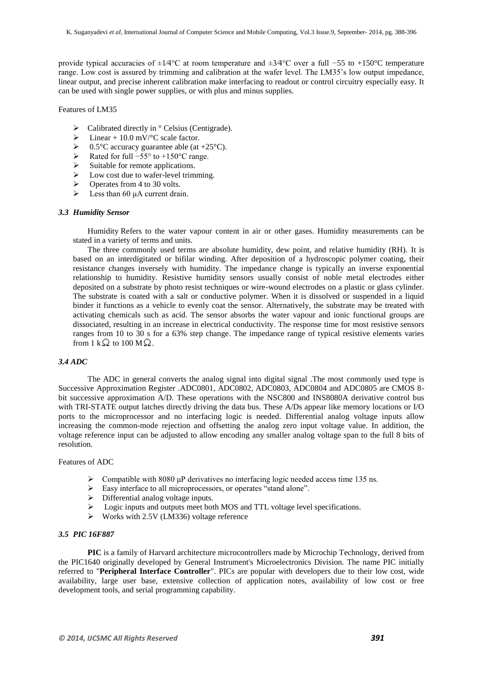provide typical accuracies of ±1⁄4°C at room temperature and ±3⁄4°C over a full −55 to +150°C temperature range. Low cost is assured by trimming and calibration at the wafer level. The LM35"s low output impedance, linear output, and precise inherent calibration make interfacing to readout or control circuitry especially easy. It can be used with single power supplies, or with plus and minus supplies.

Features of LM35

- $\triangleright$  Calibrated directly in ° Celsius (Centigrade).<br>  $\triangleright$  Linear + 10.0 mV/°C scale factor
- Einear + 10.0 mV/°C scale factor.<br>  $\geq 0.5$ °C accuracy guarantee able (at
- > 0.5°C accuracy guarantee able (at +25°C).<br>
→ Rated for full -55° to +150°C range.
- Rated for full  $-55^\circ$  to +150°C range.
- $\triangleright$  Suitable for remote applications.
- $\triangleright$  Low cost due to wafer-level trimming.
- $\triangleright$  Operates from 4 to 30 volts.
- $\triangleright$  Less than 60 μA current drain.

## *3.3 Humidity Sensor*

Humidity Refers to the water vapour content in air or other gases. Humidity measurements can be stated in a variety of terms and units.

The three commonly used terms are absolute humidity, dew point, and relative humidity (RH). It is based on an interdigitated or bifilar winding. After deposition of a hydroscopic polymer coating, their resistance changes inversely with humidity. The impedance change is typically an inverse exponential relationship to humidity. Resistive humidity sensors usually consist of noble metal electrodes either deposited on a substrate by photo resist techniques or wire-wound electrodes on a plastic or glass cylinder. The substrate is coated with a salt or conductive polymer. When it is dissolved or suspended in a liquid binder it functions as a vehicle to evenly coat the sensor. Alternatively, the substrate may be treated with activating chemicals such as acid. The sensor absorbs the water vapour and ionic functional groups are dissociated, resulting in an increase in electrical conductivity. The response time for most resistive sensors ranges from 10 to 30 s for a 63% step change. The impedance range of typical resistive elements varies from  $1 \text{ k } \Omega$  to 100 M $\Omega$ .

#### *3.4 ADC*

The ADC in general converts the analog signal into digital signal .The most commonly used type is Successive Approximation Register .ADC0801, ADC0802, ADC0803, ADC0804 and ADC0805 are CMOS 8 bit successive approximation A/D. These operations with the NSC800 and INS8080A derivative control bus with TRI-STATE output latches directly driving the data bus. These A/Ds appear like memory locations or I/O ports to the microprocessor and no interfacing logic is needed. Differential analog voltage inputs allow increasing the common-mode rejection and offsetting the analog zero input voltage value. In addition, the voltage reference input can be adjusted to allow encoding any smaller analog voltage span to the full 8 bits of resolution.

#### Features of ADC

- $\geq$  Compatible with 8080 μP derivatives no interfacing logic needed access time 135 ns.<br>  $\geq$  Easy interface to all microprocessors, or operates "stand alone".
- ▶ Easy interface to all microprocessors, or operates "stand alone".<br>
► Differential analog voltage inputs.
- Differential analog voltage inputs.
- $\triangleright$  Logic inputs and outputs meet both MOS and TTL voltage level specifications.
- $\triangleright$  Works with 2.5V (LM336) voltage reference

#### *3.5 PIC 16F887*

**PIC** is a family of Harvard architecture microcontrollers made by Microchip Technology, derived from the PIC1640 originally developed by General Instrument's Microelectronics Division. The name PIC initially referred to "**Peripheral Interface Controller**". PICs are popular with developers due to their low cost, wide availability, large user base, extensive collection of application notes, availability of low cost or free development tools, and serial programming capability.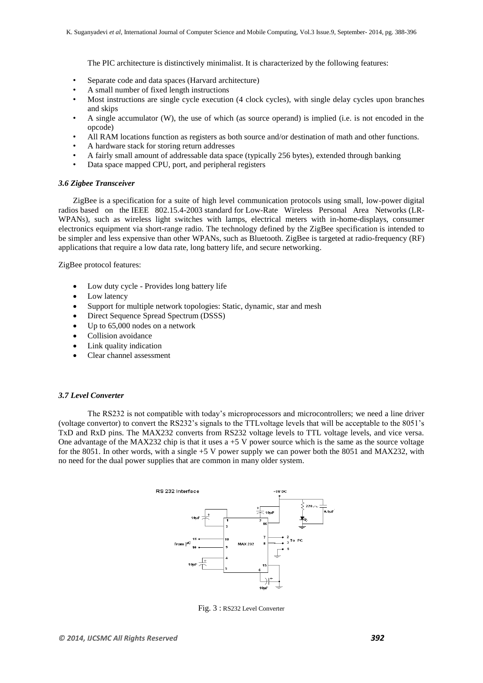The PIC architecture is distinctively minimalist. It is characterized by the following features:

- Separate code and data spaces (Harvard architecture)
- A small number of fixed length instructions
- Most instructions are single cycle execution (4 clock cycles), with single delay cycles upon branches and skips
- A single accumulator (W), the use of which (as source operand) is implied (i.e. is not encoded in the opcode)
- All RAM locations function as registers as both source and/or destination of math and other functions.
- A hardware stack for storing return addresses
- A fairly small amount of addressable data space (typically 256 bytes), extended through banking
- Data space mapped CPU, port, and peripheral registers

## *3.6 Zigbee Transceiver*

ZigBee is a [specification](http://en.wikipedia.org/wiki/Specification_(technical_standard)) for a suite of high level communication protocols using small, low-power [digital](http://en.wikipedia.org/wiki/Digital_radio)  [radios](http://en.wikipedia.org/wiki/Digital_radio) based on the [IEEE 802.15.4-2003](http://en.wikipedia.org/wiki/IEEE_802.15.4-2003) [standard](http://en.wikipedia.org/wiki/Standardization) for [Low-Rate Wireless Personal Area Networks](http://en.wikipedia.org/w/index.php?title=Low-Rate_Wireless_Personal_Area_Network&action=edit&redlink=1) (LR-WPANs), such as wireless light switches with lamps, electrical meters with in-home-displays, consumer electronics equipment via short-range radio. The technology defined by the [ZigBee specification](http://en.wikipedia.org/wiki/ZigBee_specification) is intended to be simpler and less expensive than other [WPANs,](http://en.wikipedia.org/wiki/Personal_area_network#Wireless_PAN) such as [Bluetooth.](http://en.wikipedia.org/wiki/Bluetooth) ZigBee is targeted at [radio-frequency](http://en.wikipedia.org/wiki/Radio_frequency) (RF) applications that require a low data rate, long battery life, and secure networking.

ZigBee protocol features:

- Low duty cycle Provides long battery life
- Low latency
- Support for multiple network topologies: Static, dynamic, star and mesh
- Direct Sequence Spread Spectrum (DSSS)
- Up to 65,000 nodes on a network
- Collision avoidance
- Link quality indication
- Clear channel assessment

#### *3.7 Level Converter*

The RS232 is not compatible with today"s microprocessors and microcontrollers; we need a line driver (voltage convertor) to convert the RS232"s signals to the TTLvoltage levels that will be acceptable to the 8051"s TxD and RxD pins. The MAX232 converts from RS232 voltage levels to TTL voltage levels, and vice versa. One advantage of the MAX232 chip is that it uses  $a + 5$  V power source which is the same as the source voltage for the 8051. In other words, with a single +5 V power supply we can power both the 8051 and MAX232, with no need for the dual power supplies that are common in many older system.



Fig. 3 : RS232 Level Converter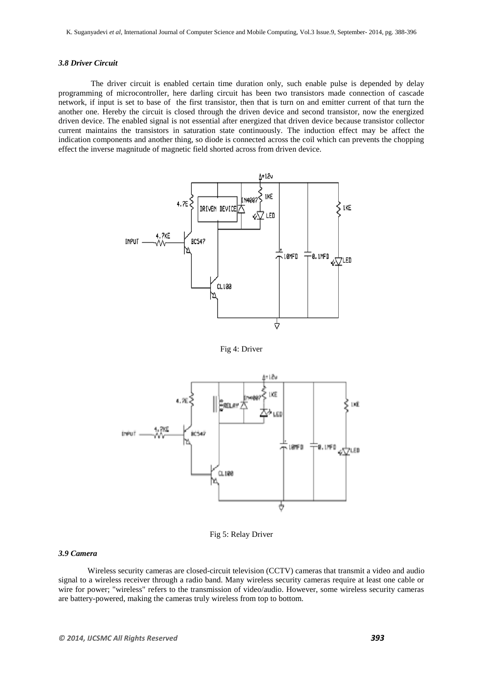#### *3.8 Driver Circuit*

 The driver circuit is enabled certain time duration only, such enable pulse is depended by delay programming of microcontroller, here darling circuit has been two transistors made connection of cascade network, if input is set to base of the first transistor, then that is turn on and emitter current of that turn the another one. Hereby the circuit is closed through the driven device and second transistor, now the energized driven device. The enabled signal is not essential after energized that driven device because transistor collector current maintains the transistors in saturation state continuously. The induction effect may be affect the indication components and another thing, so diode is connected across the coil which can prevents the chopping effect the inverse magnitude of magnetic field shorted across from driven device.



Fig 4: Driver



Fig 5: Relay Driver

# *3.9 Camera*

Wireless security cameras are [closed-circuit television](http://en.wikipedia.org/wiki/Closed-circuit_television) (CCTV) [cameras](http://en.wikipedia.org/wiki/Video_camera) that transmit a video and audio signal to a wireless receiver through a radio band. Many wireless security cameras require at least one cable or wire for power; "wireless" refers to the transmission of video/audio. However, some wireless security cameras are battery-powered, making the cameras truly wireless from top to bottom.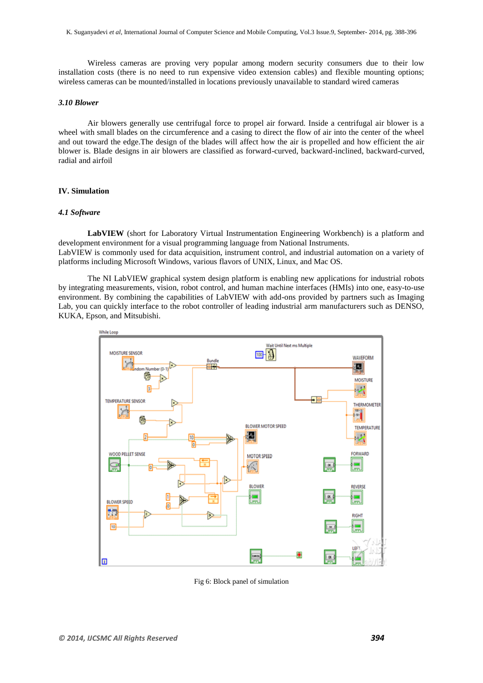Wireless cameras are proving very popular among modern security consumers due to their low installation costs (there is no need to run expensive video extension cables) and flexible mounting options; wireless cameras can be mounted/installed in locations previously unavailable to standard wired cameras

## *3.10 Blower*

Air blowers generally use centrifugal force to propel air forward. Inside a centrifugal air blower is a wheel with small blades on the circumference and a casing to direct the flow of air into the center of the wheel and out toward the edge.The design of the blades will affect how the air is propelled and how efficient the air blower is. Blade designs in air blowers are classified as forward-curved, backward-inclined, backward-curved, radial and airfoil

## **IV. Simulation**

## *4.1 Software*

**LabVIEW** (short for Laboratory Virtual Instrumentation Engineering Workbench) is a platform and development environment for a [visual programming language](http://en.wikipedia.org/wiki/Visual_programming_language) from [National Instruments.](http://en.wikipedia.org/wiki/National_Instruments) LabVIEW is commonly used for data acquisition, instrument control, and industrial automation on a variety of platforms including Microsoft Windows, various flavors of UNIX, Linux, and Mac OS.

The NI LabVIEW graphical system design platform is enabling new applications for industrial robots by integrating measurements, vision, robot control, and human machine interfaces (HMIs) into one, easy-to-use environment. By combining the capabilities of LabVIEW with add-ons provided by partners such as Imaging Lab, you can quickly interface to the robot controller of leading industrial arm manufacturers such as DENSO, KUKA, Epson, and Mitsubishi.



Fig 6: Block panel of simulation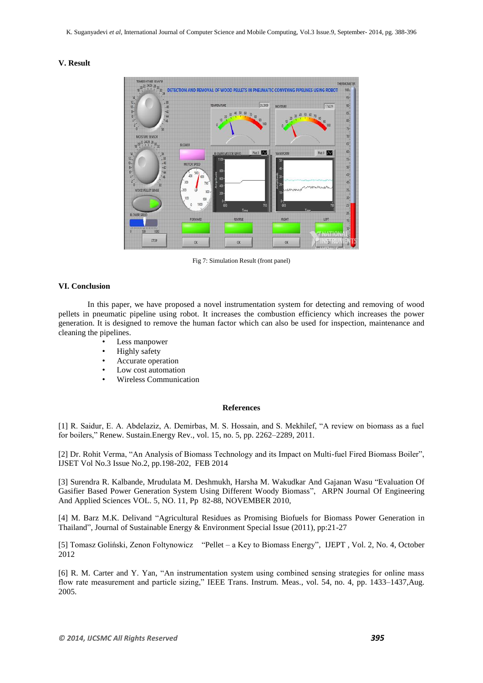## **V. Result**



Fig 7: Simulation Result (front panel)

#### **VI. Conclusion**

In this paper, we have proposed a novel instrumentation system for detecting and removing of wood pellets in pneumatic pipeline using robot. It increases the combustion efficiency which increases the power generation. It is designed to remove the human factor which can also be used for inspection, maintenance and cleaning the pipelines.

- Less manpower
- Highly safety
- Accurate operation
- Low cost automation
- Wireless Communication

## **References**

[1] R. Saidur, E. A. Abdelaziz, A. Demirbas, M. S. Hossain, and S. Mekhilef, "A review on biomass as a fuel for boilers," Renew. Sustain.Energy Rev., vol. 15, no. 5, pp. 2262–2289, 2011.

[2] Dr. Rohit Verma, "An Analysis of Biomass Technology and its Impact on Multi-fuel Fired Biomass Boiler", IJSET Vol No.3 Issue No.2, pp.198-202, FEB 2014

[3] Surendra R. Kalbande, Mrudulata M. Deshmukh, Harsha M. Wakudkar And Gajanan Wasu "Evaluation Of Gasifier Based Power Generation System Using Different Woody Biomass", ARPN Journal Of Engineering And Applied Sciences VOL. 5, NO. 11, Pp 82-88, NOVEMBER 2010,

[4] M. Barz M.K. Delivand "Agricultural Residues as Promising Biofuels for Biomass Power Generation in Thailand", Journal of Sustainable Energy & Environment Special Issue (2011), pp:21-27

[5] Tomasz Goliński, Zenon Foltynowicz "Pellet – a Key to Biomass Energy", IJEPT , Vol. 2, No. 4, October 2012

[6] R. M. Carter and Y. Yan, "An instrumentation system using combined sensing strategies for online mass flow rate measurement and particle sizing," IEEE Trans. Instrum. Meas., vol. 54, no. 4, pp. 1433–1437, Aug. 2005.